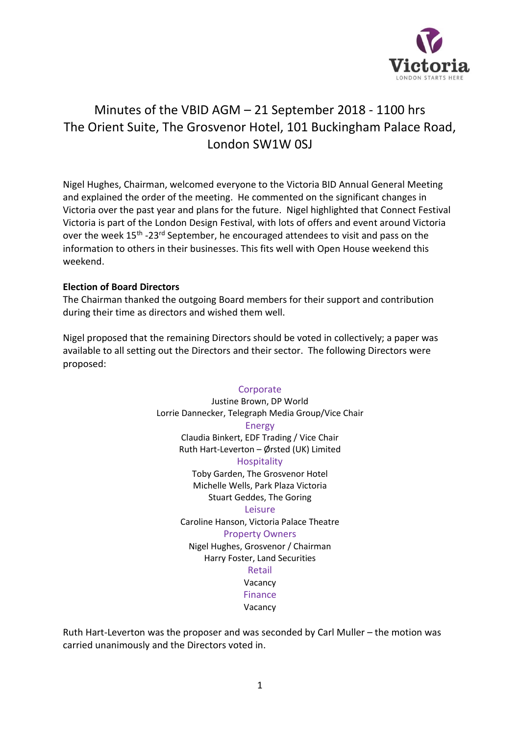

# Minutes of the VBID AGM – 21 September 2018 - 1100 hrs The Orient Suite, The Grosvenor Hotel, 101 Buckingham Palace Road, London SW1W 0SJ

Nigel Hughes, Chairman, welcomed everyone to the Victoria BID Annual General Meeting and explained the order of the meeting. He commented on the significant changes in Victoria over the past year and plans for the future. Nigel highlighted that Connect Festival Victoria is part of the London Design Festival, with lots of offers and event around Victoria over the week 15<sup>th</sup> -23<sup>rd</sup> September, he encouraged attendees to visit and pass on the information to others in their businesses. This fits well with Open House weekend this weekend.

# **Election of Board Directors**

The Chairman thanked the outgoing Board members for their support and contribution during their time as directors and wished them well.

Nigel proposed that the remaining Directors should be voted in collectively; a paper was available to all setting out the Directors and their sector. The following Directors were proposed:

#### **Corporate**

Justine Brown, DP World Lorrie Dannecker, Telegraph Media Group/Vice Chair Energy Claudia Binkert, EDF Trading / Vice Chair Ruth Hart-Leverton – Ørsted (UK) Limited **Hospitality** Toby Garden, The Grosvenor Hotel Michelle Wells, Park Plaza Victoria Stuart Geddes, The Goring Leisure Caroline Hanson, Victoria Palace Theatre Property Owners Nigel Hughes, Grosvenor / Chairman Harry Foster, Land Securities Retail Vacancy

Finance

Vacancy

Ruth Hart-Leverton was the proposer and was seconded by Carl Muller – the motion was carried unanimously and the Directors voted in.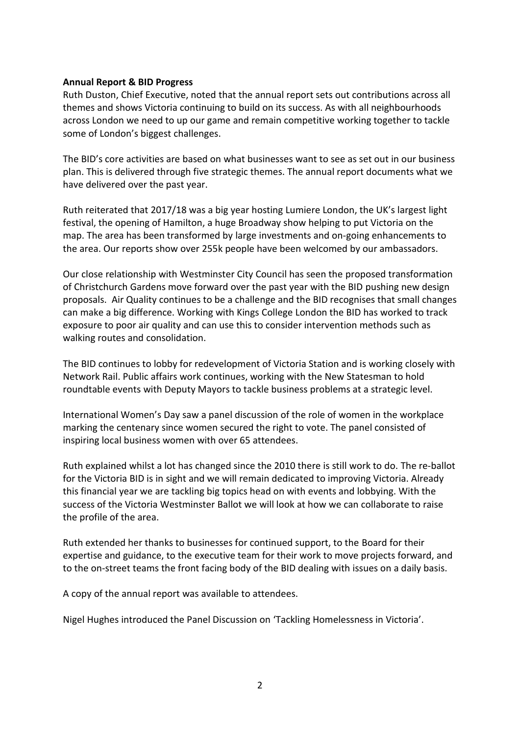### **Annual Report & BID Progress**

Ruth Duston, Chief Executive, noted that the annual report sets out contributions across all themes and shows Victoria continuing to build on its success. As with all neighbourhoods across London we need to up our game and remain competitive working together to tackle some of London's biggest challenges.

The BID's core activities are based on what businesses want to see as set out in our business plan. This is delivered through five strategic themes. The annual report documents what we have delivered over the past year.

Ruth reiterated that 2017/18 was a big year hosting Lumiere London, the UK's largest light festival, the opening of Hamilton, a huge Broadway show helping to put Victoria on the map. The area has been transformed by large investments and on-going enhancements to the area. Our reports show over 255k people have been welcomed by our ambassadors.

Our close relationship with Westminster City Council has seen the proposed transformation of Christchurch Gardens move forward over the past year with the BID pushing new design proposals. Air Quality continues to be a challenge and the BID recognises that small changes can make a big difference. Working with Kings College London the BID has worked to track exposure to poor air quality and can use this to consider intervention methods such as walking routes and consolidation.

The BID continues to lobby for redevelopment of Victoria Station and is working closely with Network Rail. Public affairs work continues, working with the New Statesman to hold roundtable events with Deputy Mayors to tackle business problems at a strategic level.

International Women's Day saw a panel discussion of the role of women in the workplace marking the centenary since women secured the right to vote. The panel consisted of inspiring local business women with over 65 attendees.

Ruth explained whilst a lot has changed since the 2010 there is still work to do. The re-ballot for the Victoria BID is in sight and we will remain dedicated to improving Victoria. Already this financial year we are tackling big topics head on with events and lobbying. With the success of the Victoria Westminster Ballot we will look at how we can collaborate to raise the profile of the area.

Ruth extended her thanks to businesses for continued support, to the Board for their expertise and guidance, to the executive team for their work to move projects forward, and to the on-street teams the front facing body of the BID dealing with issues on a daily basis.

A copy of the annual report was available to attendees.

Nigel Hughes introduced the Panel Discussion on 'Tackling Homelessness in Victoria'.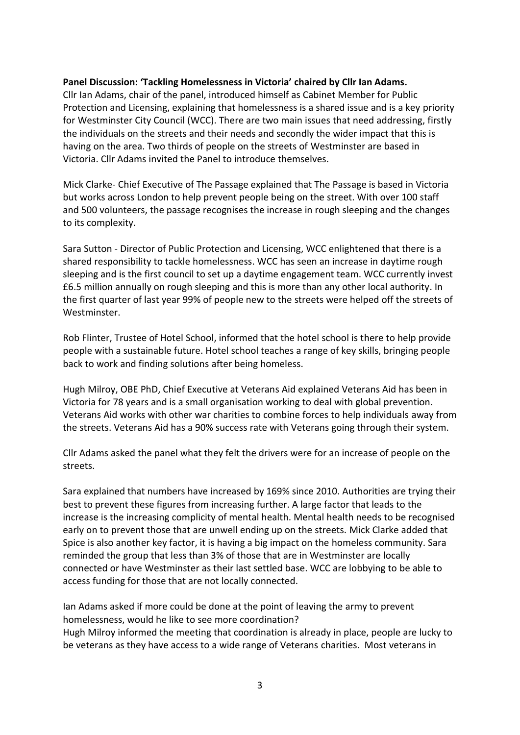# **Panel Discussion: 'Tackling Homelessness in Victoria' chaired by Cllr Ian Adams.**

Cllr Ian Adams, chair of the panel, introduced himself as Cabinet Member for Public Protection and Licensing, explaining that homelessness is a shared issue and is a key priority for Westminster City Council (WCC). There are two main issues that need addressing, firstly the individuals on the streets and their needs and secondly the wider impact that this is having on the area. Two thirds of people on the streets of Westminster are based in Victoria. Cllr Adams invited the Panel to introduce themselves.

Mick Clarke- Chief Executive of The Passage explained that The Passage is based in Victoria but works across London to help prevent people being on the street. With over 100 staff and 500 volunteers, the passage recognises the increase in rough sleeping and the changes to its complexity.

Sara Sutton - Director of Public Protection and Licensing, WCC enlightened that there is a shared responsibility to tackle homelessness. WCC has seen an increase in daytime rough sleeping and is the first council to set up a daytime engagement team. WCC currently invest £6.5 million annually on rough sleeping and this is more than any other local authority. In the first quarter of last year 99% of people new to the streets were helped off the streets of **Westminster** 

Rob Flinter, Trustee of Hotel School, informed that the hotel school is there to help provide people with a sustainable future. Hotel school teaches a range of key skills, bringing people back to work and finding solutions after being homeless.

Hugh Milroy, OBE PhD, Chief Executive at Veterans Aid explained Veterans Aid has been in Victoria for 78 years and is a small organisation working to deal with global prevention. Veterans Aid works with other war charities to combine forces to help individuals away from the streets. Veterans Aid has a 90% success rate with Veterans going through their system.

Cllr Adams asked the panel what they felt the drivers were for an increase of people on the streets.

Sara explained that numbers have increased by 169% since 2010. Authorities are trying their best to prevent these figures from increasing further. A large factor that leads to the increase is the increasing complicity of mental health. Mental health needs to be recognised early on to prevent those that are unwell ending up on the streets. Mick Clarke added that Spice is also another key factor, it is having a big impact on the homeless community. Sara reminded the group that less than 3% of those that are in Westminster are locally connected or have Westminster as their last settled base. WCC are lobbying to be able to access funding for those that are not locally connected.

Ian Adams asked if more could be done at the point of leaving the army to prevent homelessness, would he like to see more coordination? Hugh Milroy informed the meeting that coordination is already in place, people are lucky to be veterans as they have access to a wide range of Veterans charities. Most veterans in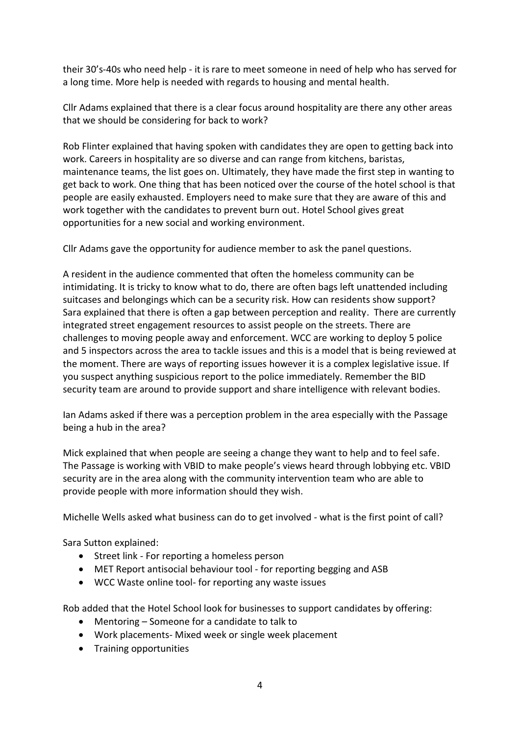their 30's-40s who need help - it is rare to meet someone in need of help who has served for a long time. More help is needed with regards to housing and mental health.

Cllr Adams explained that there is a clear focus around hospitality are there any other areas that we should be considering for back to work?

Rob Flinter explained that having spoken with candidates they are open to getting back into work. Careers in hospitality are so diverse and can range from kitchens, baristas, maintenance teams, the list goes on. Ultimately, they have made the first step in wanting to get back to work. One thing that has been noticed over the course of the hotel school is that people are easily exhausted. Employers need to make sure that they are aware of this and work together with the candidates to prevent burn out. Hotel School gives great opportunities for a new social and working environment.

Cllr Adams gave the opportunity for audience member to ask the panel questions.

A resident in the audience commented that often the homeless community can be intimidating. It is tricky to know what to do, there are often bags left unattended including suitcases and belongings which can be a security risk. How can residents show support? Sara explained that there is often a gap between perception and reality. There are currently integrated street engagement resources to assist people on the streets. There are challenges to moving people away and enforcement. WCC are working to deploy 5 police and 5 inspectors across the area to tackle issues and this is a model that is being reviewed at the moment. There are ways of reporting issues however it is a complex legislative issue. If you suspect anything suspicious report to the police immediately. Remember the BID security team are around to provide support and share intelligence with relevant bodies.

Ian Adams asked if there was a perception problem in the area especially with the Passage being a hub in the area?

Mick explained that when people are seeing a change they want to help and to feel safe. The Passage is working with VBID to make people's views heard through lobbying etc. VBID security are in the area along with the community intervention team who are able to provide people with more information should they wish.

Michelle Wells asked what business can do to get involved - what is the first point of call?

Sara Sutton explained:

- Street link For reporting a homeless person
- MET Report antisocial behaviour tool for reporting begging and ASB
- WCC Waste online tool- for reporting any waste issues

Rob added that the Hotel School look for businesses to support candidates by offering:

- Mentoring Someone for a candidate to talk to
- Work placements- Mixed week or single week placement
- Training opportunities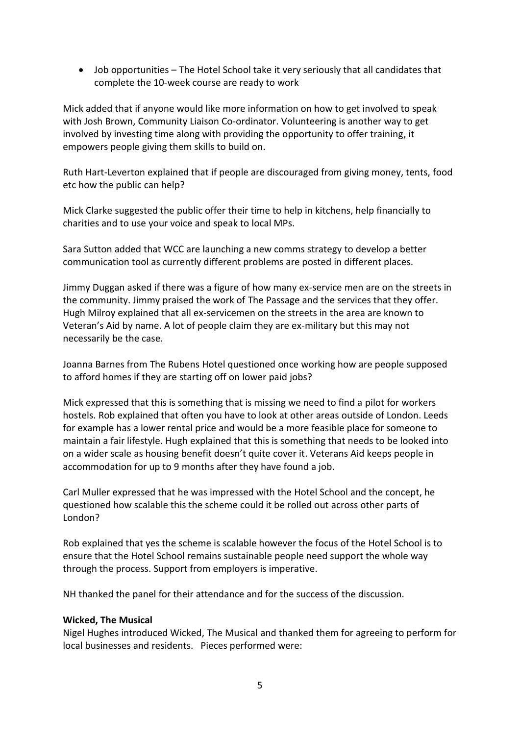• Job opportunities – The Hotel School take it very seriously that all candidates that complete the 10-week course are ready to work

Mick added that if anyone would like more information on how to get involved to speak with Josh Brown, Community Liaison Co-ordinator. Volunteering is another way to get involved by investing time along with providing the opportunity to offer training, it empowers people giving them skills to build on.

Ruth Hart-Leverton explained that if people are discouraged from giving money, tents, food etc how the public can help?

Mick Clarke suggested the public offer their time to help in kitchens, help financially to charities and to use your voice and speak to local MPs.

Sara Sutton added that WCC are launching a new comms strategy to develop a better communication tool as currently different problems are posted in different places.

Jimmy Duggan asked if there was a figure of how many ex-service men are on the streets in the community. Jimmy praised the work of The Passage and the services that they offer. Hugh Milroy explained that all ex-servicemen on the streets in the area are known to Veteran's Aid by name. A lot of people claim they are ex-military but this may not necessarily be the case.

Joanna Barnes from The Rubens Hotel questioned once working how are people supposed to afford homes if they are starting off on lower paid jobs?

Mick expressed that this is something that is missing we need to find a pilot for workers hostels. Rob explained that often you have to look at other areas outside of London. Leeds for example has a lower rental price and would be a more feasible place for someone to maintain a fair lifestyle. Hugh explained that this is something that needs to be looked into on a wider scale as housing benefit doesn't quite cover it. Veterans Aid keeps people in accommodation for up to 9 months after they have found a job.

Carl Muller expressed that he was impressed with the Hotel School and the concept, he questioned how scalable this the scheme could it be rolled out across other parts of London?

Rob explained that yes the scheme is scalable however the focus of the Hotel School is to ensure that the Hotel School remains sustainable people need support the whole way through the process. Support from employers is imperative.

NH thanked the panel for their attendance and for the success of the discussion.

## **Wicked, The Musical**

Nigel Hughes introduced Wicked, The Musical and thanked them for agreeing to perform for local businesses and residents. Pieces performed were: